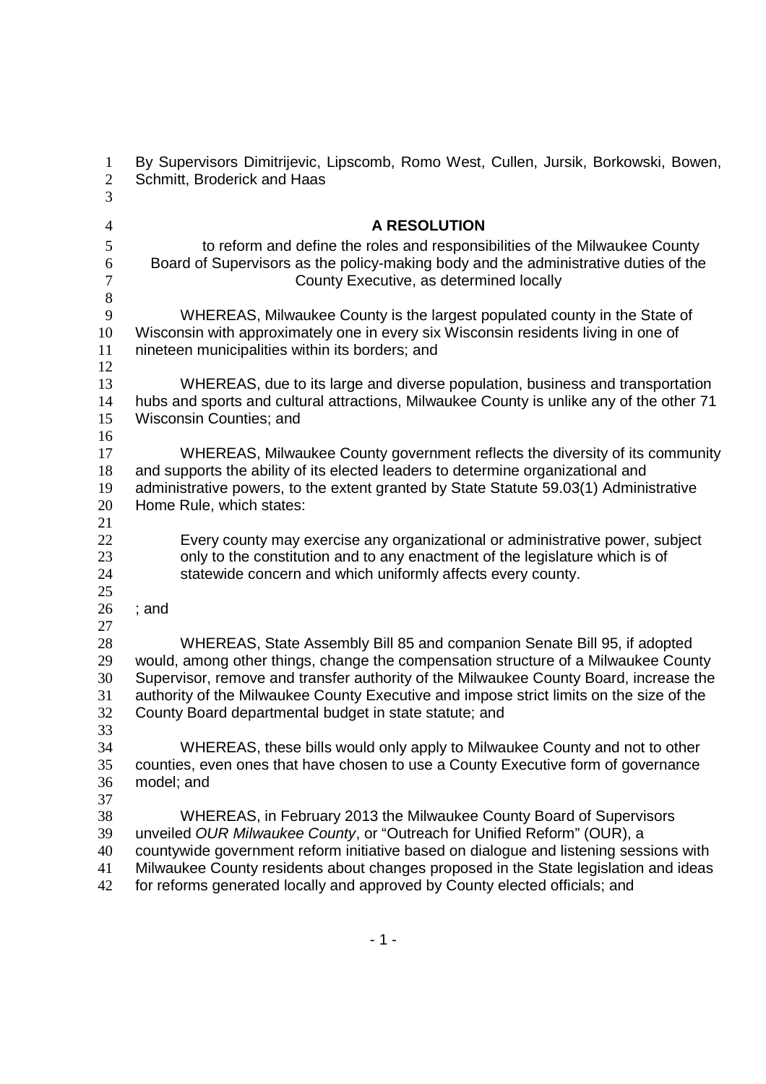| $\mathbf{1}$<br>$\mathbf{2}$<br>3 | By Supervisors Dimitrijevic, Lipscomb, Romo West, Cullen, Jursik, Borkowski, Bowen,<br>Schmitt, Broderick and Haas |
|-----------------------------------|--------------------------------------------------------------------------------------------------------------------|
| $\overline{4}$                    | <b>A RESOLUTION</b>                                                                                                |
| 5                                 | to reform and define the roles and responsibilities of the Milwaukee County                                        |
| 6                                 | Board of Supervisors as the policy-making body and the administrative duties of the                                |
| $\tau$                            | County Executive, as determined locally                                                                            |
| $\, 8$                            |                                                                                                                    |
| 9                                 | WHEREAS, Milwaukee County is the largest populated county in the State of                                          |
| 10                                | Wisconsin with approximately one in every six Wisconsin residents living in one of                                 |
| 11                                | nineteen municipalities within its borders; and                                                                    |
| 12                                |                                                                                                                    |
| 13                                | WHEREAS, due to its large and diverse population, business and transportation                                      |
| 14                                | hubs and sports and cultural attractions, Milwaukee County is unlike any of the other 71                           |
| 15                                | Wisconsin Counties; and                                                                                            |
| 16                                |                                                                                                                    |
| 17                                | WHEREAS, Milwaukee County government reflects the diversity of its community                                       |
| 18                                | and supports the ability of its elected leaders to determine organizational and                                    |
| 19<br>20                          | administrative powers, to the extent granted by State Statute 59.03(1) Administrative<br>Home Rule, which states:  |
| 21                                |                                                                                                                    |
| 22                                | Every county may exercise any organizational or administrative power, subject                                      |
| 23                                | only to the constitution and to any enactment of the legislature which is of                                       |
| 24                                | statewide concern and which uniformly affects every county.                                                        |
| 25                                |                                                                                                                    |
| 26                                | ; and                                                                                                              |
| 27                                |                                                                                                                    |
| 28                                | WHEREAS, State Assembly Bill 85 and companion Senate Bill 95, if adopted                                           |
| 29                                | would, among other things, change the compensation structure of a Milwaukee County                                 |
| 30                                | Supervisor, remove and transfer authority of the Milwaukee County Board, increase the                              |
| 31                                | authority of the Milwaukee County Executive and impose strict limits on the size of the                            |
| 32                                | County Board departmental budget in state statute; and                                                             |
| 33<br>34                          | WHEREAS, these bills would only apply to Milwaukee County and not to other                                         |
| 35                                | counties, even ones that have chosen to use a County Executive form of governance                                  |
| 36                                | model; and                                                                                                         |
| 37                                |                                                                                                                    |
| 38                                | WHEREAS, in February 2013 the Milwaukee County Board of Supervisors                                                |
| 39                                | unveiled OUR Milwaukee County, or "Outreach for Unified Reform" (OUR), a                                           |
| 40                                | countywide government reform initiative based on dialogue and listening sessions with                              |
| 41                                | Milwaukee County residents about changes proposed in the State legislation and ideas                               |
| 42                                | for reforms generated locally and approved by County elected officials; and                                        |
|                                   |                                                                                                                    |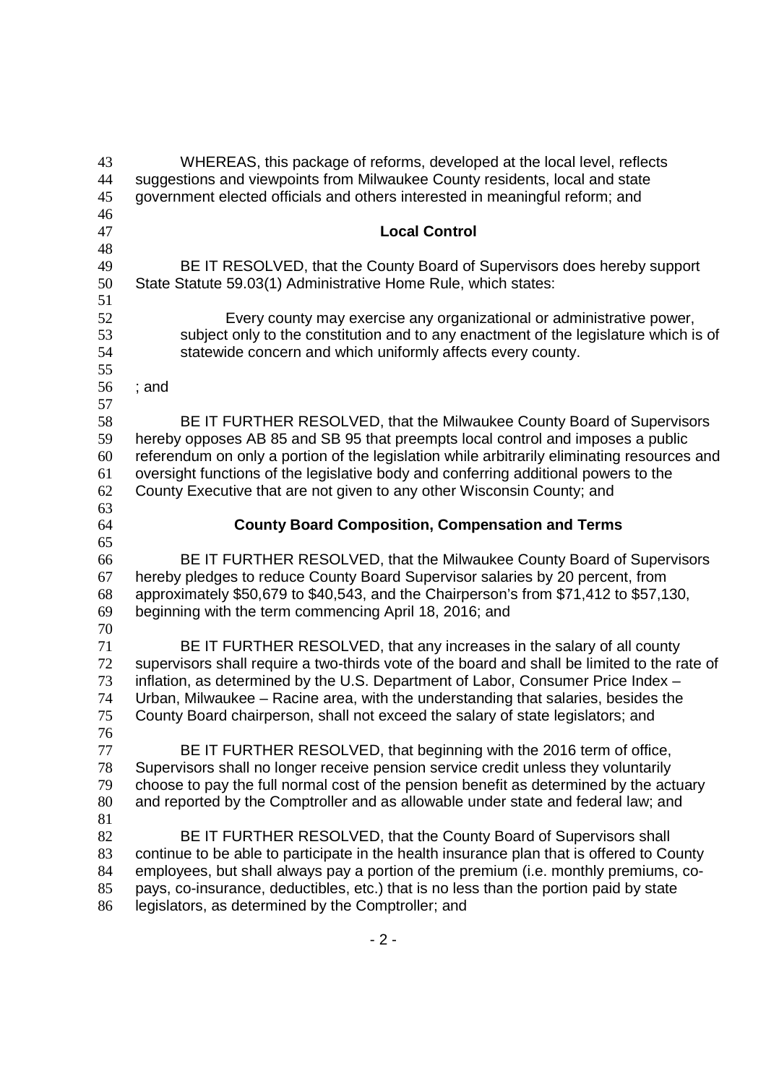WHEREAS, this package of reforms, developed at the local level, reflects suggestions and viewpoints from Milwaukee County residents, local and state government elected officials and others interested in meaningful reform; and **Local Control** BE IT RESOLVED, that the County Board of Supervisors does hereby support State Statute 59.03(1) Administrative Home Rule, which states: Every county may exercise any organizational or administrative power, subject only to the constitution and to any enactment of the legislature which is of statewide concern and which uniformly affects every county. ; and BE IT FURTHER RESOLVED, that the Milwaukee County Board of Supervisors hereby opposes AB 85 and SB 95 that preempts local control and imposes a public referendum on only a portion of the legislation while arbitrarily eliminating resources and oversight functions of the legislative body and conferring additional powers to the County Executive that are not given to any other Wisconsin County; and **County Board Composition, Compensation and Terms** BE IT FURTHER RESOLVED, that the Milwaukee County Board of Supervisors hereby pledges to reduce County Board Supervisor salaries by 20 percent, from approximately \$50,679 to \$40,543, and the Chairperson's from \$71,412 to \$57,130, beginning with the term commencing April 18, 2016; and BE IT FURTHER RESOLVED, that any increases in the salary of all county supervisors shall require a two-thirds vote of the board and shall be limited to the rate of inflation, as determined by the U.S. Department of Labor, Consumer Price Index – Urban, Milwaukee – Racine area, with the understanding that salaries, besides the County Board chairperson, shall not exceed the salary of state legislators; and BE IT FURTHER RESOLVED, that beginning with the 2016 term of office, Supervisors shall no longer receive pension service credit unless they voluntarily choose to pay the full normal cost of the pension benefit as determined by the actuary 80 and reported by the Comptroller and as allowable under state and federal law; and 82 BE IT FURTHER RESOLVED, that the County Board of Supervisors shall continue to be able to participate in the health insurance plan that is offered to County employees, but shall always pay a portion of the premium (i.e. monthly premiums, co- pays, co-insurance, deductibles, etc.) that is no less than the portion paid by state legislators, as determined by the Comptroller; and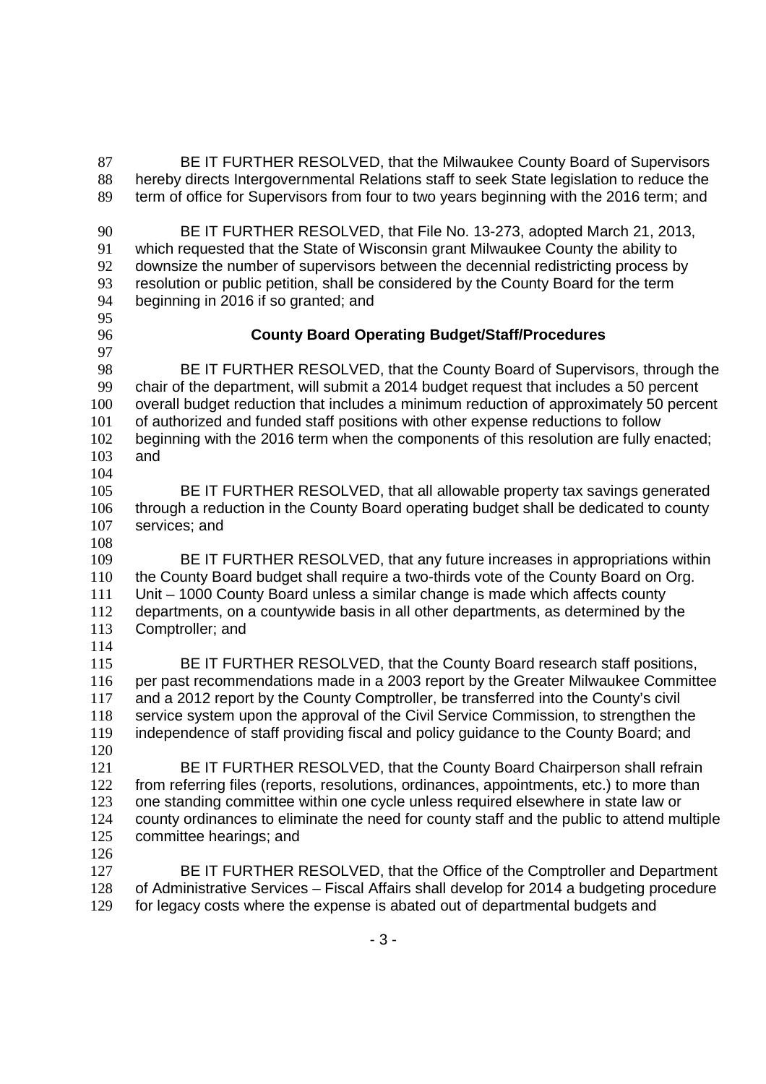BE IT FURTHER RESOLVED, that the Milwaukee County Board of Supervisors hereby directs Intergovernmental Relations staff to seek State legislation to reduce the term of office for Supervisors from four to two years beginning with the 2016 term; and BE IT FURTHER RESOLVED, that File No. 13-273, adopted March 21, 2013, which requested that the State of Wisconsin grant Milwaukee County the ability to downsize the number of supervisors between the decennial redistricting process by resolution or public petition, shall be considered by the County Board for the term beginning in 2016 if so granted; and **County Board Operating Budget/Staff/Procedures** BE IT FURTHER RESOLVED, that the County Board of Supervisors, through the chair of the department, will submit a 2014 budget request that includes a 50 percent overall budget reduction that includes a minimum reduction of approximately 50 percent of authorized and funded staff positions with other expense reductions to follow 102 beginning with the 2016 term when the components of this resolution are fully enacted; and BE IT FURTHER RESOLVED, that all allowable property tax savings generated through a reduction in the County Board operating budget shall be dedicated to county services; and BE IT FURTHER RESOLVED, that any future increases in appropriations within the County Board budget shall require a two-thirds vote of the County Board on Org. Unit – 1000 County Board unless a similar change is made which affects county departments, on a countywide basis in all other departments, as determined by the Comptroller; and BE IT FURTHER RESOLVED, that the County Board research staff positions, per past recommendations made in a 2003 report by the Greater Milwaukee Committee and a 2012 report by the County Comptroller, be transferred into the County's civil service system upon the approval of the Civil Service Commission, to strengthen the independence of staff providing fiscal and policy guidance to the County Board; and 121 BE IT FURTHER RESOLVED, that the County Board Chairperson shall refrain from referring files (reports, resolutions, ordinances, appointments, etc.) to more than one standing committee within one cycle unless required elsewhere in state law or county ordinances to eliminate the need for county staff and the public to attend multiple committee hearings; and BE IT FURTHER RESOLVED, that the Office of the Comptroller and Department of Administrative Services – Fiscal Affairs shall develop for 2014 a budgeting procedure

for legacy costs where the expense is abated out of departmental budgets and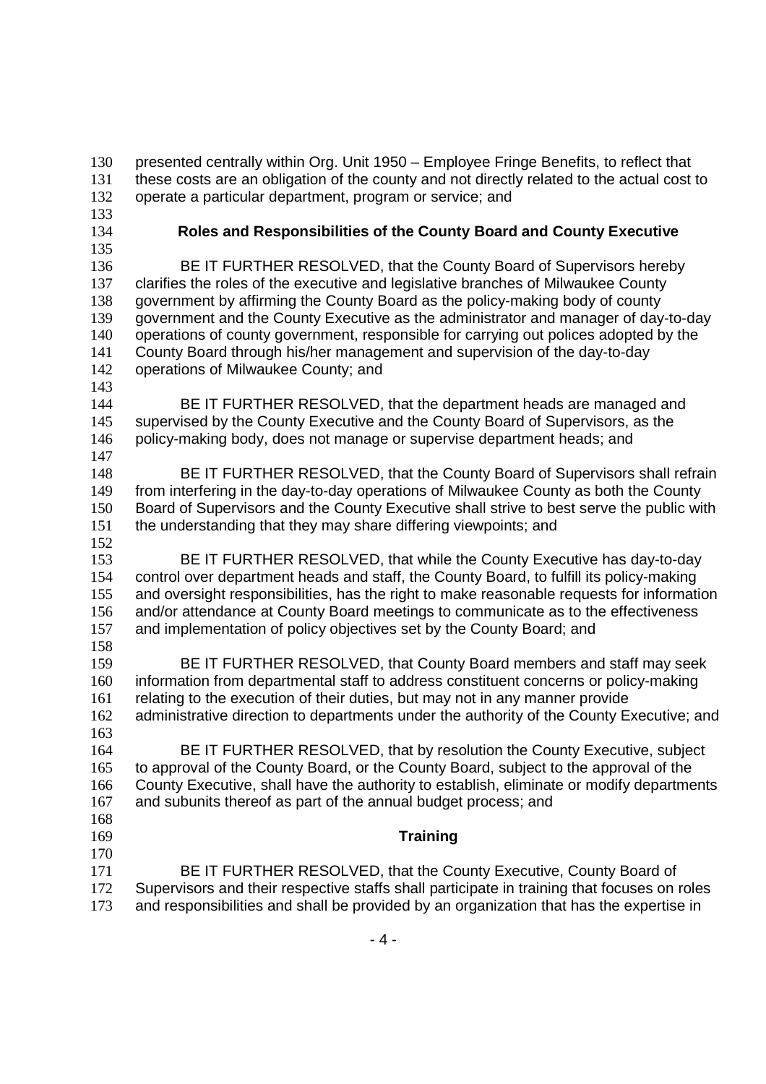presented centrally within Org. Unit 1950 – Employee Fringe Benefits, to reflect that these costs are an obligation of the county and not directly related to the actual cost to operate a particular department, program or service; and **Roles and Responsibilities of the County Board and County Executive** BE IT FURTHER RESOLVED, that the County Board of Supervisors hereby clarifies the roles of the executive and legislative branches of Milwaukee County government by affirming the County Board as the policy-making body of county government and the County Executive as the administrator and manager of day-to-day 140 operations of county government, responsible for carrying out polices adopted by the County Board through his/her management and supervision of the day-to-day operations of Milwaukee County; and BE IT FURTHER RESOLVED, that the department heads are managed and supervised by the County Executive and the County Board of Supervisors, as the 146 policy-making body, does not manage or supervise department heads; and BE IT FURTHER RESOLVED, that the County Board of Supervisors shall refrain from interfering in the day-to-day operations of Milwaukee County as both the County Board of Supervisors and the County Executive shall strive to best serve the public with the understanding that they may share differing viewpoints; and BE IT FURTHER RESOLVED, that while the County Executive has day-to-day control over department heads and staff, the County Board, to fulfill its policy-making and oversight responsibilities, has the right to make reasonable requests for information and/or attendance at County Board meetings to communicate as to the effectiveness and implementation of policy objectives set by the County Board; and BE IT FURTHER RESOLVED, that County Board members and staff may seek information from departmental staff to address constituent concerns or policy-making relating to the execution of their duties, but may not in any manner provide administrative direction to departments under the authority of the County Executive; and BE IT FURTHER RESOLVED, that by resolution the County Executive, subject to approval of the County Board, or the County Board, subject to the approval of the County Executive, shall have the authority to establish, eliminate or modify departments and subunits thereof as part of the annual budget process; and **Training** BE IT FURTHER RESOLVED, that the County Executive, County Board of Supervisors and their respective staffs shall participate in training that focuses on roles and responsibilities and shall be provided by an organization that has the expertise in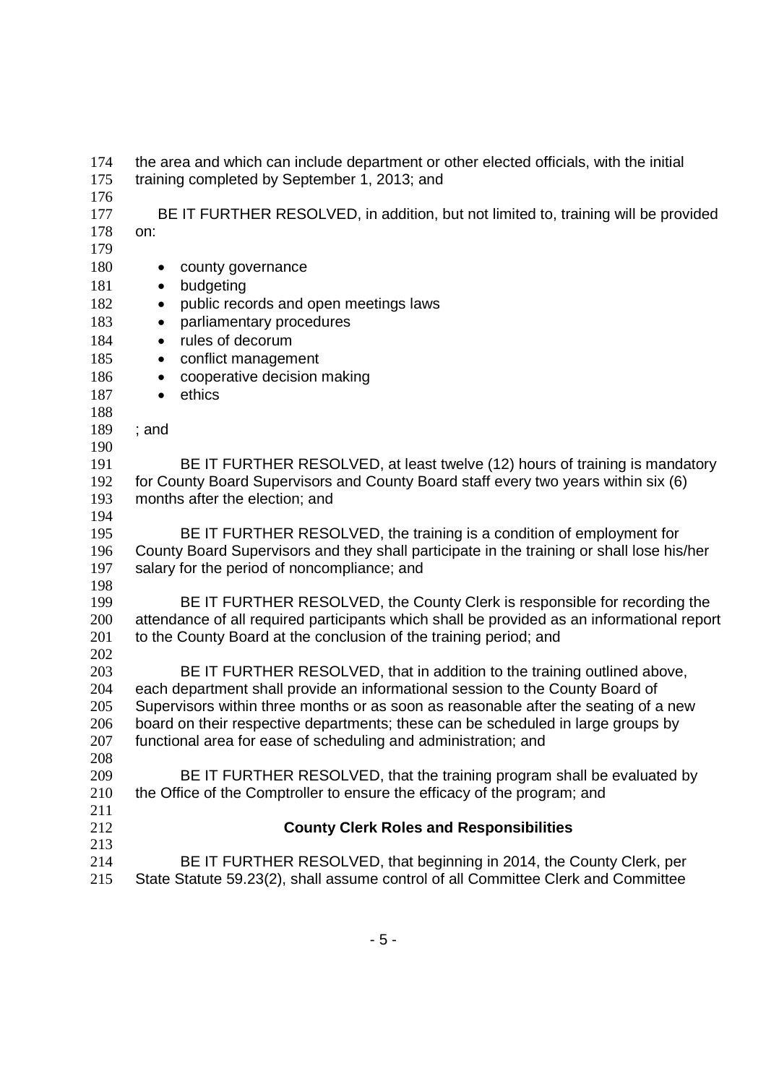the area and which can include department or other elected officials, with the initial training completed by September 1, 2013; and BE IT FURTHER RESOLVED, in addition, but not limited to, training will be provided on: 180 • county governance 181 • budgeting 182 • public records and open meetings laws 183 • parliamentary procedures 184 • rules of decorum 185 • conflict management 186 • cooperative decision making 187 · ethics ; and BE IT FURTHER RESOLVED, at least twelve (12) hours of training is mandatory for County Board Supervisors and County Board staff every two years within six (6) months after the election; and 194<br>195 BE IT FURTHER RESOLVED, the training is a condition of employment for County Board Supervisors and they shall participate in the training or shall lose his/her salary for the period of noncompliance; and BE IT FURTHER RESOLVED, the County Clerk is responsible for recording the attendance of all required participants which shall be provided as an informational report 201 to the County Board at the conclusion of the training period; and BE IT FURTHER RESOLVED, that in addition to the training outlined above, each department shall provide an informational session to the County Board of 205 Supervisors within three months or as soon as reasonable after the seating of a new board on their respective departments; these can be scheduled in large groups by functional area for ease of scheduling and administration; and BE IT FURTHER RESOLVED, that the training program shall be evaluated by 210 the Office of the Comptroller to ensure the efficacy of the program; and **County Clerk Roles and Responsibilities** BE IT FURTHER RESOLVED, that beginning in 2014, the County Clerk, per State Statute 59.23(2), shall assume control of all Committee Clerk and Committee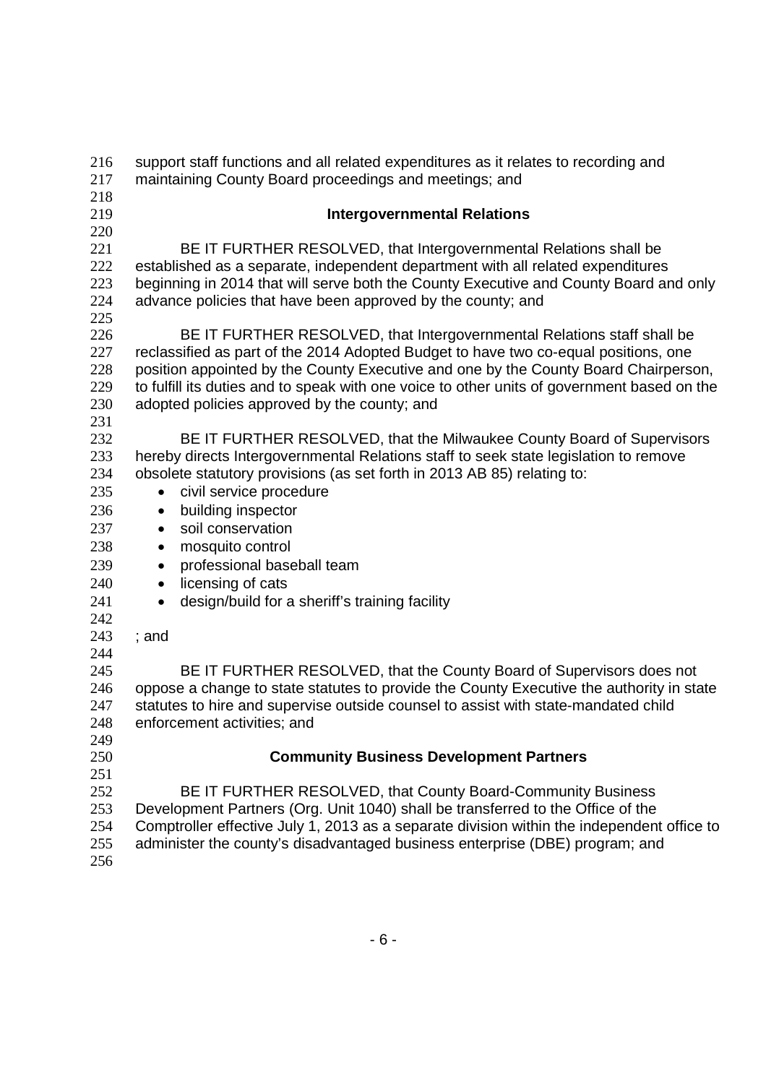| 218                                                                                                                                                                                                                                                                |  |
|--------------------------------------------------------------------------------------------------------------------------------------------------------------------------------------------------------------------------------------------------------------------|--|
| 219<br><b>Intergovernmental Relations</b><br>220                                                                                                                                                                                                                   |  |
| 221<br>BE IT FURTHER RESOLVED, that Intergovernmental Relations shall be<br>established as a separate, independent department with all related expenditures<br>222<br>223<br>beginning in 2014 that will serve both the County Executive and County Board and only |  |
| 224<br>advance policies that have been approved by the county; and<br>225                                                                                                                                                                                          |  |
| 226<br>BE IT FURTHER RESOLVED, that Intergovernmental Relations staff shall be<br>227<br>reclassified as part of the 2014 Adopted Budget to have two co-equal positions, one                                                                                       |  |
| position appointed by the County Executive and one by the County Board Chairperson,<br>228<br>to fulfill its duties and to speak with one voice to other units of government based on the<br>229<br>230<br>adopted policies approved by the county; and            |  |
| 231                                                                                                                                                                                                                                                                |  |
| 232<br>BE IT FURTHER RESOLVED, that the Milwaukee County Board of Supervisors<br>233<br>hereby directs Intergovernmental Relations staff to seek state legislation to remove                                                                                       |  |
| obsolete statutory provisions (as set forth in 2013 AB 85) relating to:<br>234                                                                                                                                                                                     |  |
| civil service procedure<br>235<br>$\bullet$                                                                                                                                                                                                                        |  |
| building inspector<br>236<br>$\bullet$                                                                                                                                                                                                                             |  |
| soil conservation<br>237<br>$\bullet$                                                                                                                                                                                                                              |  |
| 238<br>mosquito control<br>$\bullet$<br>239                                                                                                                                                                                                                        |  |
| professional baseball team<br>$\bullet$<br>licensing of cats<br>240<br>$\bullet$                                                                                                                                                                                   |  |
| design/build for a sheriff's training facility<br>241<br>$\bullet$                                                                                                                                                                                                 |  |
| 242                                                                                                                                                                                                                                                                |  |
| 243<br>; and                                                                                                                                                                                                                                                       |  |
| 244                                                                                                                                                                                                                                                                |  |
| 245<br>BE IT FURTHER RESOLVED, that the County Board of Supervisors does not                                                                                                                                                                                       |  |
| oppose a change to state statutes to provide the County Executive the authority in state<br>246                                                                                                                                                                    |  |
| statutes to hire and supervise outside counsel to assist with state-mandated child<br>247                                                                                                                                                                          |  |
| 248<br>enforcement activities; and                                                                                                                                                                                                                                 |  |
| 249                                                                                                                                                                                                                                                                |  |
| <b>Community Business Development Partners</b><br>250                                                                                                                                                                                                              |  |
| 251                                                                                                                                                                                                                                                                |  |
| 252<br>BE IT FURTHER RESOLVED, that County Board-Community Business                                                                                                                                                                                                |  |
| 253<br>Development Partners (Org. Unit 1040) shall be transferred to the Office of the                                                                                                                                                                             |  |
| Comptroller effective July 1, 2013 as a separate division within the independent office to<br>254                                                                                                                                                                  |  |
| administer the county's disadvantaged business enterprise (DBE) program; and<br>255<br>256                                                                                                                                                                         |  |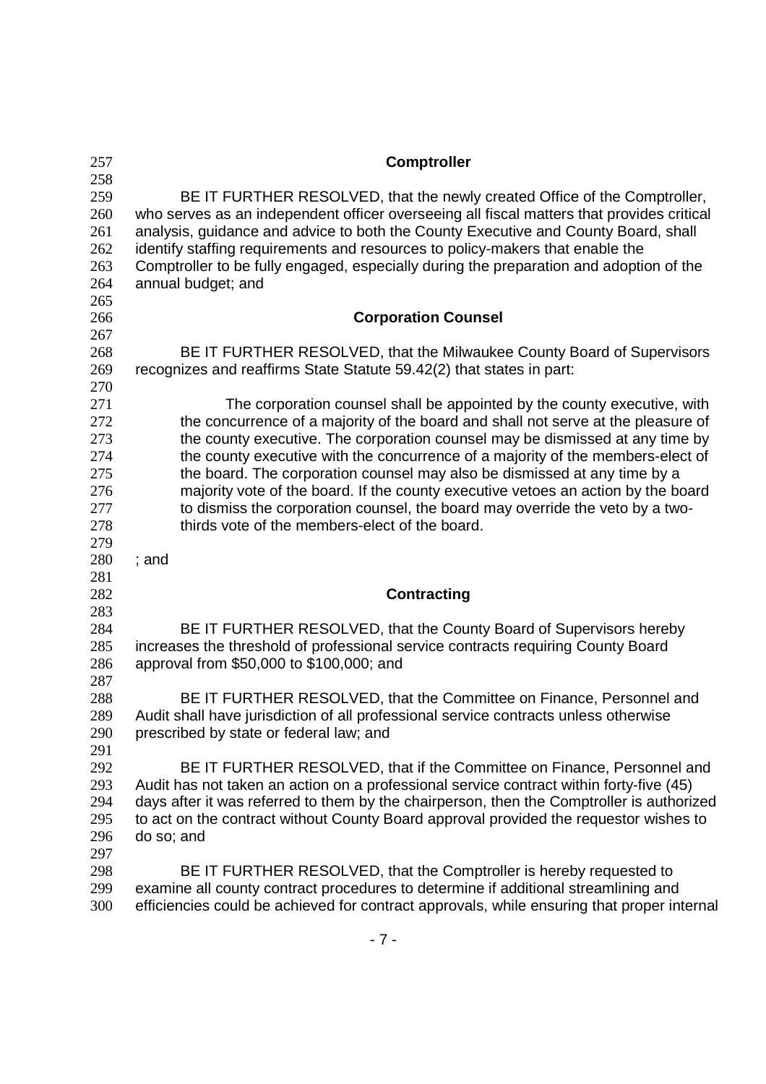| 257 | <b>Comptroller</b>                                                                         |
|-----|--------------------------------------------------------------------------------------------|
| 258 |                                                                                            |
| 259 | BE IT FURTHER RESOLVED, that the newly created Office of the Comptroller,                  |
| 260 | who serves as an independent officer overseeing all fiscal matters that provides critical  |
| 261 | analysis, guidance and advice to both the County Executive and County Board, shall         |
| 262 | identify staffing requirements and resources to policy-makers that enable the              |
| 263 | Comptroller to be fully engaged, especially during the preparation and adoption of the     |
| 264 | annual budget; and                                                                         |
| 265 |                                                                                            |
| 266 | <b>Corporation Counsel</b>                                                                 |
| 267 |                                                                                            |
| 268 | BE IT FURTHER RESOLVED, that the Milwaukee County Board of Supervisors                     |
| 269 | recognizes and reaffirms State Statute 59.42(2) that states in part:                       |
| 270 |                                                                                            |
| 271 | The corporation counsel shall be appointed by the county executive, with                   |
| 272 | the concurrence of a majority of the board and shall not serve at the pleasure of          |
| 273 | the county executive. The corporation counsel may be dismissed at any time by              |
| 274 | the county executive with the concurrence of a majority of the members-elect of            |
| 275 | the board. The corporation counsel may also be dismissed at any time by a                  |
| 276 | majority vote of the board. If the county executive vetoes an action by the board          |
| 277 | to dismiss the corporation counsel, the board may override the veto by a two-              |
| 278 | thirds vote of the members-elect of the board.                                             |
| 279 |                                                                                            |
| 280 | ; and                                                                                      |
| 281 |                                                                                            |
| 282 | <b>Contracting</b>                                                                         |
| 283 |                                                                                            |
| 284 | BE IT FURTHER RESOLVED, that the County Board of Supervisors hereby                        |
| 285 | increases the threshold of professional service contracts requiring County Board           |
| 286 | approval from \$50,000 to \$100,000; and                                                   |
| 287 |                                                                                            |
| 288 | BE IT FURTHER RESOLVED, that the Committee on Finance, Personnel and                       |
| 289 | Audit shall have jurisdiction of all professional service contracts unless otherwise       |
| 290 | prescribed by state or federal law; and                                                    |
| 291 |                                                                                            |
| 292 | BE IT FURTHER RESOLVED, that if the Committee on Finance, Personnel and                    |
| 293 | Audit has not taken an action on a professional service contract within forty-five (45)    |
| 294 | days after it was referred to them by the chairperson, then the Comptroller is authorized  |
| 295 | to act on the contract without County Board approval provided the requestor wishes to      |
| 296 | do so; and                                                                                 |
| 297 |                                                                                            |
| 298 | BE IT FURTHER RESOLVED, that the Comptroller is hereby requested to                        |
| 299 | examine all county contract procedures to determine if additional streamlining and         |
| 300 | efficiencies could be achieved for contract approvals, while ensuring that proper internal |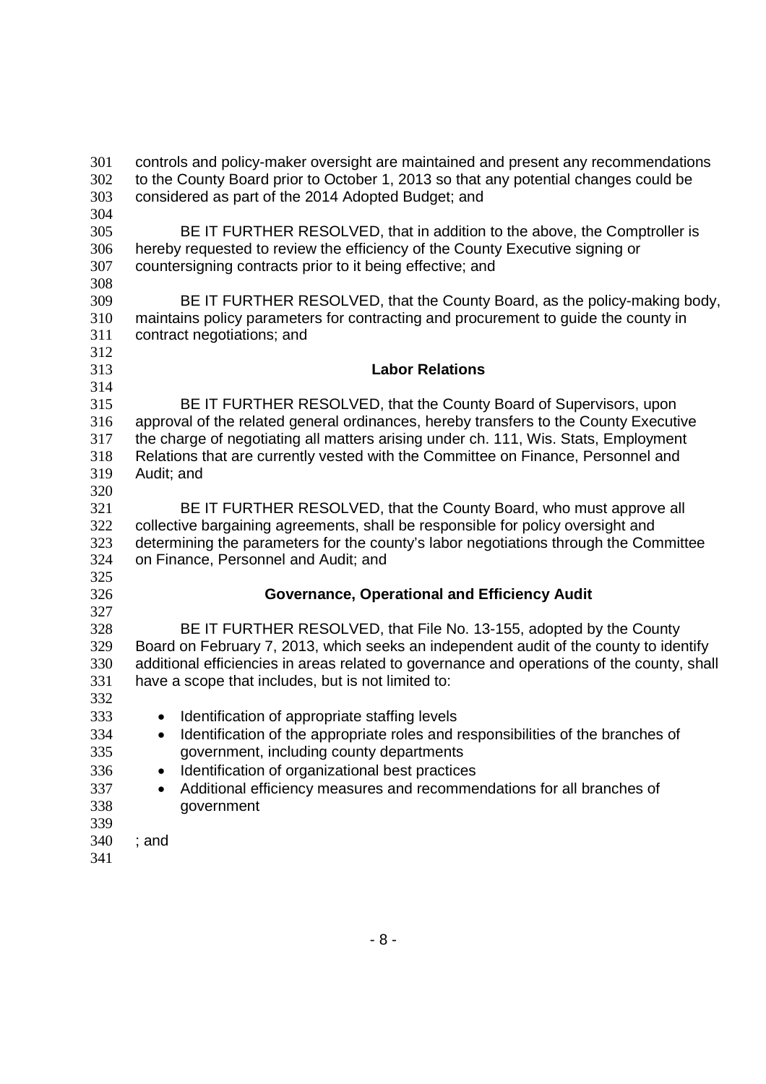controls and policy-maker oversight are maintained and present any recommendations to the County Board prior to October 1, 2013 so that any potential changes could be considered as part of the 2014 Adopted Budget; and BE IT FURTHER RESOLVED, that in addition to the above, the Comptroller is hereby requested to review the efficiency of the County Executive signing or countersigning contracts prior to it being effective; and BE IT FURTHER RESOLVED, that the County Board, as the policy-making body, maintains policy parameters for contracting and procurement to guide the county in contract negotiations; and **Labor Relations** BE IT FURTHER RESOLVED, that the County Board of Supervisors, upon approval of the related general ordinances, hereby transfers to the County Executive the charge of negotiating all matters arising under ch. 111, Wis. Stats, Employment Relations that are currently vested with the Committee on Finance, Personnel and Audit; and BE IT FURTHER RESOLVED, that the County Board, who must approve all collective bargaining agreements, shall be responsible for policy oversight and determining the parameters for the county's labor negotiations through the Committee on Finance, Personnel and Audit; and **Governance, Operational and Efficiency Audit** BE IT FURTHER RESOLVED, that File No. 13-155, adopted by the County Board on February 7, 2013, which seeks an independent audit of the county to identify additional efficiencies in areas related to governance and operations of the county, shall have a scope that includes, but is not limited to: **•** Identification of appropriate staffing levels 334 • Identification of the appropriate roles and responsibilities of the branches of government, including county departments Identification of organizational best practices Additional efficiency measures and recommendations for all branches of government ; and